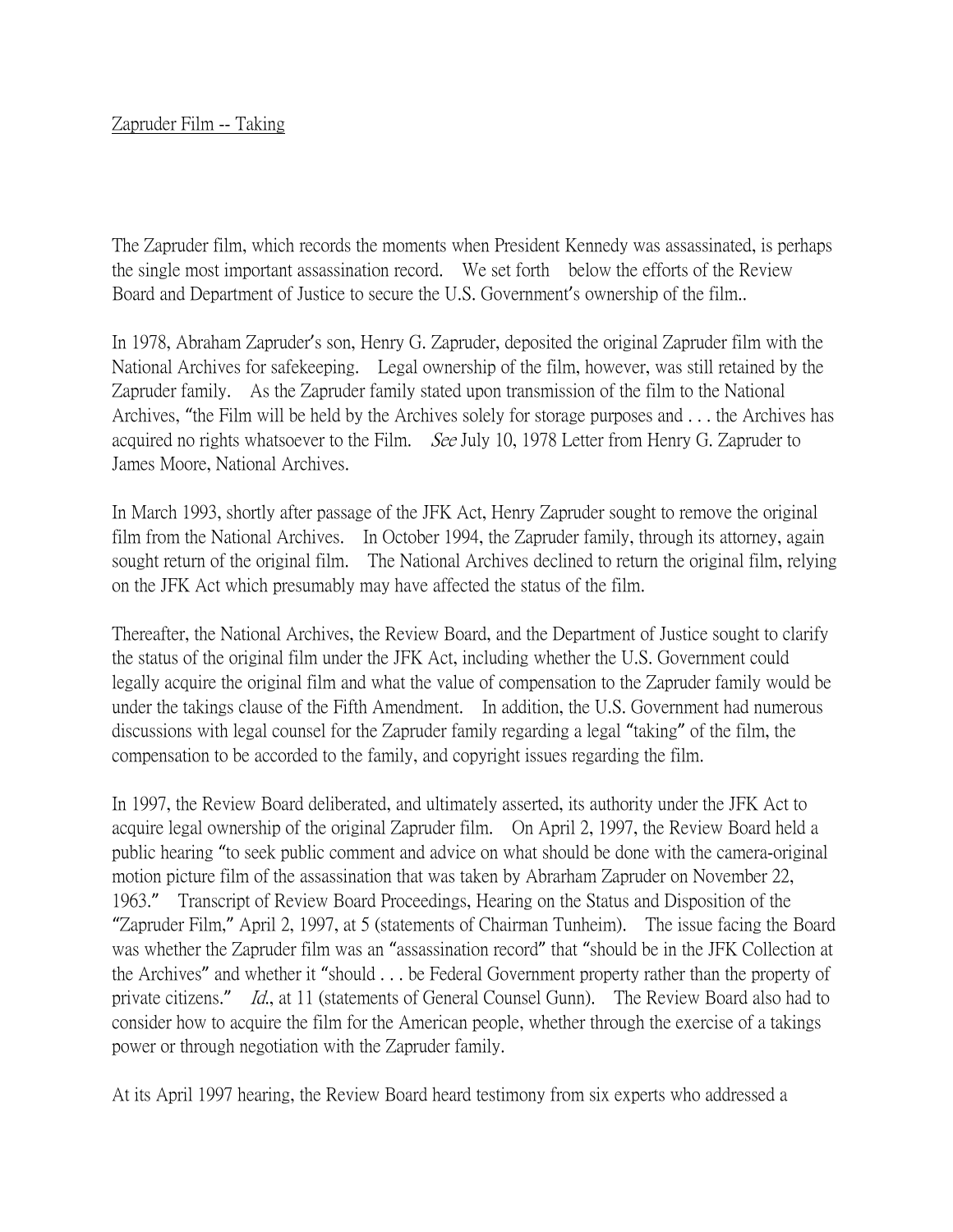## Zapruder Film -- Taking

The Zapruder film, which records the moments when President Kennedy was assassinated, is perhaps the single most important assassination record. We set forth below the efforts of the Review Board and Department of Justice to secure the U.S. Government's ownership of the film..

In 1978, Abraham Zapruder's son, Henry G. Zapruder, deposited the original Zapruder film with the National Archives for safekeeping. Legal ownership of the film, however, was still retained by the Zapruder family. As the Zapruder family stated upon transmission of the film to the National Archives, "the Film will be held by the Archives solely for storage purposes and . . . the Archives has acquired no rights whatsoever to the Film. See July 10, 1978 Letter from Henry G. Zapruder to James Moore, National Archives.

In March 1993, shortly after passage of the JFK Act, Henry Zapruder sought to remove the original film from the National Archives. In October 1994, the Zapruder family, through its attorney, again sought return of the original film. The National Archives declined to return the original film, relying on the JFK Act which presumably may have affected the status of the film.

Thereafter, the National Archives, the Review Board, and the Department of Justice sought to clarify the status of the original film under the JFK Act, including whether the U.S. Government could legally acquire the original film and what the value of compensation to the Zapruder family would be under the takings clause of the Fifth Amendment. In addition, the U.S. Government had numerous discussions with legal counsel for the Zapruder family regarding a legal "taking" of the film, the compensation to be accorded to the family, and copyright issues regarding the film.

In 1997, the Review Board deliberated, and ultimately asserted, its authority under the JFK Act to acquire legal ownership of the original Zapruder film. On April 2, 1997, the Review Board held a public hearing "to seek public comment and advice on what should be done with the camera-original motion picture film of the assassination that was taken by Abrarham Zapruder on November 22, 1963." Transcript of Review Board Proceedings, Hearing on the Status and Disposition of the "Zapruder Film," April 2, 1997, at 5 (statements of Chairman Tunheim). The issue facing the Board was whether the Zapruder film was an "assassination record" that "should be in the JFK Collection at the Archives" and whether it "should . . . be Federal Government property rather than the property of private citizens." Id., at 11 (statements of General Counsel Gunn). The Review Board also had to consider how to acquire the film for the American people, whether through the exercise of a takings power or through negotiation with the Zapruder family.

At its April 1997 hearing, the Review Board heard testimony from six experts who addressed a